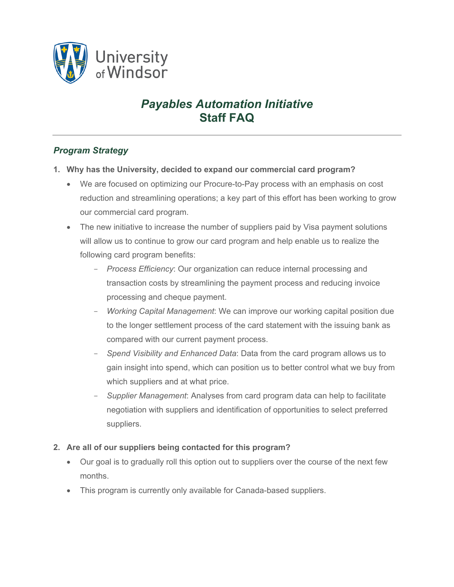

# *Payables Automation Initiative*  **Staff FAQ**

## *Program Strategy*

- **1. Why has the University, decided to expand our commercial card program?**
	- We are focused on optimizing our Procure-to-Pay process with an emphasis on cost reduction and streamlining operations; a key part of this effort has been working to grow our commercial card program.
	- The new initiative to increase the number of suppliers paid by Visa payment solutions will allow us to continue to grow our card program and help enable us to realize the following card program benefits:
		- *Process Efficiency*: Our organization can reduce internal processing and transaction costs by streamlining the payment process and reducing invoice processing and cheque payment.
		- *Working Capital Management*: We can improve our working capital position due to the longer settlement process of the card statement with the issuing bank as compared with our current payment process.
		- *Spend Visibility and Enhanced Data*: Data from the card program allows us to gain insight into spend, which can position us to better control what we buy from which suppliers and at what price.
		- *Supplier Management*: Analyses from card program data can help to facilitate negotiation with suppliers and identification of opportunities to select preferred suppliers.

#### **2. Are all of our suppliers being contacted for this program?**

- Our goal is to gradually roll this option out to suppliers over the course of the next few months.
- This program is currently only available for Canada-based suppliers.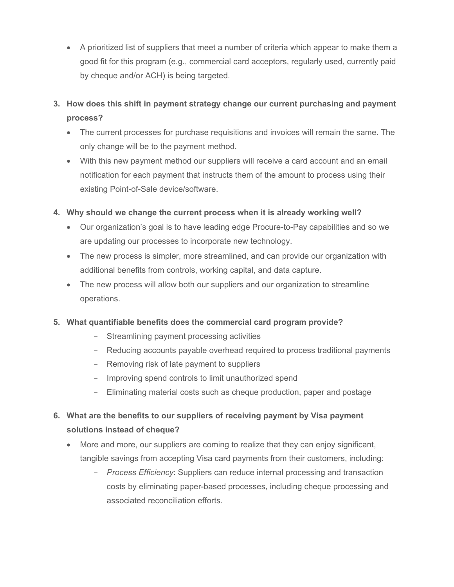- A prioritized list of suppliers that meet a number of criteria which appear to make them a good fit for this program (e.g., commercial card acceptors, regularly used, currently paid by cheque and/or ACH) is being targeted.
- **3. How does this shift in payment strategy change our current purchasing and payment process?**
	- The current processes for purchase requisitions and invoices will remain the same. The only change will be to the payment method.
	- With this new payment method our suppliers will receive a card account and an email notification for each payment that instructs them of the amount to process using their existing Point-of-Sale device/software.
- **4. Why should we change the current process when it is already working well?**
	- Our organization's goal is to have leading edge Procure-to-Pay capabilities and so we are updating our processes to incorporate new technology.
	- The new process is simpler, more streamlined, and can provide our organization with additional benefits from controls, working capital, and data capture.
	- The new process will allow both our suppliers and our organization to streamline operations.

#### **5. What quantifiable benefits does the commercial card program provide?**

- Streamlining payment processing activities
- Reducing accounts payable overhead required to process traditional payments
- Removing risk of late payment to suppliers
- Improving spend controls to limit unauthorized spend
- Eliminating material costs such as cheque production, paper and postage
- **6. What are the benefits to our suppliers of receiving payment by Visa payment solutions instead of cheque?**
	- More and more, our suppliers are coming to realize that they can enjoy significant, tangible savings from accepting Visa card payments from their customers, including:
		- *Process Efficiency*: Suppliers can reduce internal processing and transaction costs by eliminating paper-based processes, including cheque processing and associated reconciliation efforts.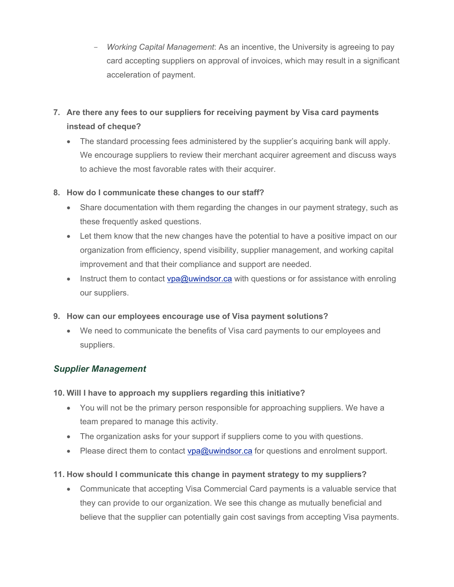- *Working Capital Management*: As an incentive, the University is agreeing to pay card accepting suppliers on approval of invoices, which may result in a significant acceleration of payment.
- **7. Are there any fees to our suppliers for receiving payment by Visa card payments instead of cheque?**
	- The standard processing fees administered by the supplier's acquiring bank will apply. We encourage suppliers to review their merchant acquirer agreement and discuss ways to achieve the most favorable rates with their acquirer.

#### **8. How do I communicate these changes to our staff?**

- Share documentation with them regarding the changes in our payment strategy, such as these frequently asked questions.
- Let them know that the new changes have the potential to have a positive impact on our organization from efficiency, spend visibility, supplier management, and working capital improvement and that their compliance and support are needed.
- Instruct them to contact  $vpa@uwinds$  can with questions or for assistance with enroling our suppliers.

#### **9. How can our employees encourage use of Visa payment solutions?**

 We need to communicate the benefits of Visa card payments to our employees and suppliers.

### *Supplier Management*

#### **10. Will I have to approach my suppliers regarding this initiative?**

- You will not be the primary person responsible for approaching suppliers. We have a team prepared to manage this activity.
- The organization asks for your support if suppliers come to you with questions.
- Please direct them to contact vpa@uwindsor.ca for questions and enrolment support.

#### **11. How should I communicate this change in payment strategy to my suppliers?**

 Communicate that accepting Visa Commercial Card payments is a valuable service that they can provide to our organization. We see this change as mutually beneficial and believe that the supplier can potentially gain cost savings from accepting Visa payments.